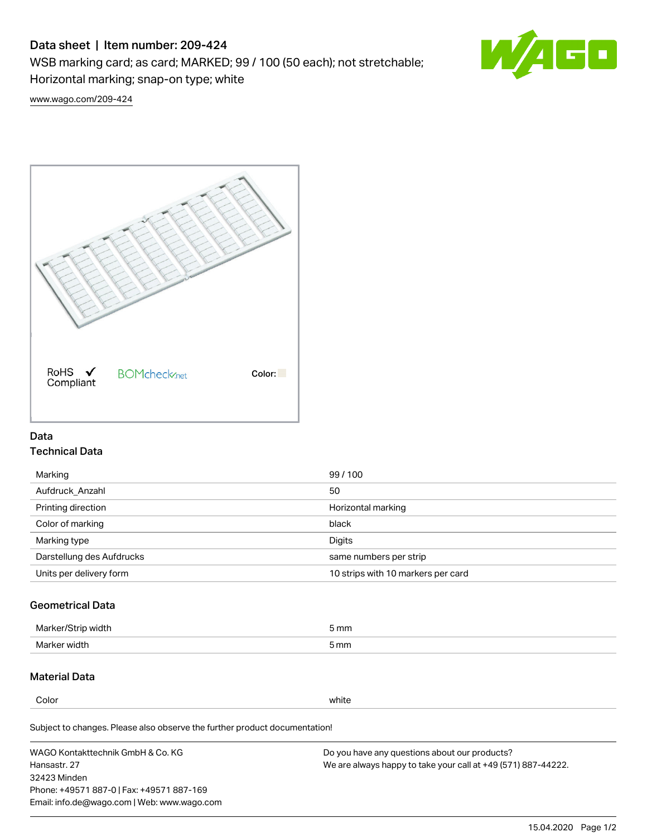### Data sheet | Item number: 209-424

WSB marking card; as card; MARKED; 99 / 100 (50 each); not stretchable;

Horizontal marking; snap-on type; white

60

[www.wago.com/209-424](http://www.wago.com/209-424)



### Data Technical Data

| Marking                   | 99/100                             |
|---------------------------|------------------------------------|
| Aufdruck Anzahl           | 50                                 |
| Printing direction        | Horizontal marking                 |
| Color of marking          | black                              |
| Marking type              | Digits                             |
| Darstellung des Aufdrucks | same numbers per strip             |
| Units per delivery form   | 10 strips with 10 markers per card |
|                           |                                    |

# Geometrical Data

| Marker/Strip width | 5 mm |
|--------------------|------|
| Marker width       | 5 mm |

# Material Data

Color white

Subject to changes. Please also observe the further product documentation!

WAGO Kontakttechnik GmbH & Co. KG Hansastr. 27 32423 Minden Phone: +49571 887-0 | Fax: +49571 887-169 Email: info.de@wago.com | Web: www.wago.com Do you have any questions about our products? We are always happy to take your call at +49 (571) 887-44222.